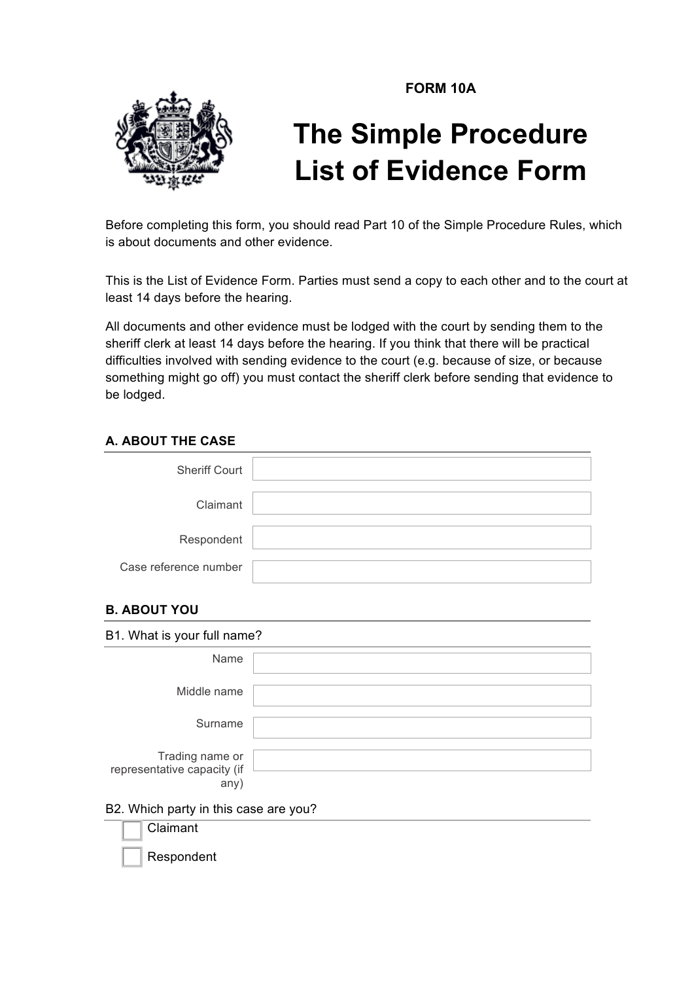**FORM 10A** 



# **The Simple Procedure List of Evidence Form**

Before completing this form, you should read Part 10 of the Simple Procedure Rules, which is about documents and other evidence.

This is the List of Evidence Form. Parties must send a copy to each other and to the court at least 14 days before the hearing.

All documents and other evidence must be lodged with the court by sending them to the sheriff clerk at least 14 days before the hearing. If you think that there will be practical difficulties involved with sending evidence to the court (e.g. because of size, or because something might go off) you must contact the sheriff clerk before sending that evidence to be lodged.

# **A. ABOUT THE CASE**

| <b>Sheriff Court</b>  |  |
|-----------------------|--|
| Claimant              |  |
| Respondent            |  |
| Case reference number |  |

# **B. ABOUT YOU**

| B1. What is your full name?                            |  |
|--------------------------------------------------------|--|
| Name                                                   |  |
| Middle name                                            |  |
| Surname                                                |  |
| Trading name or<br>representative capacity (if<br>any) |  |
| B2. Which party in this case are you?                  |  |
| Claimant                                               |  |

**Respondent**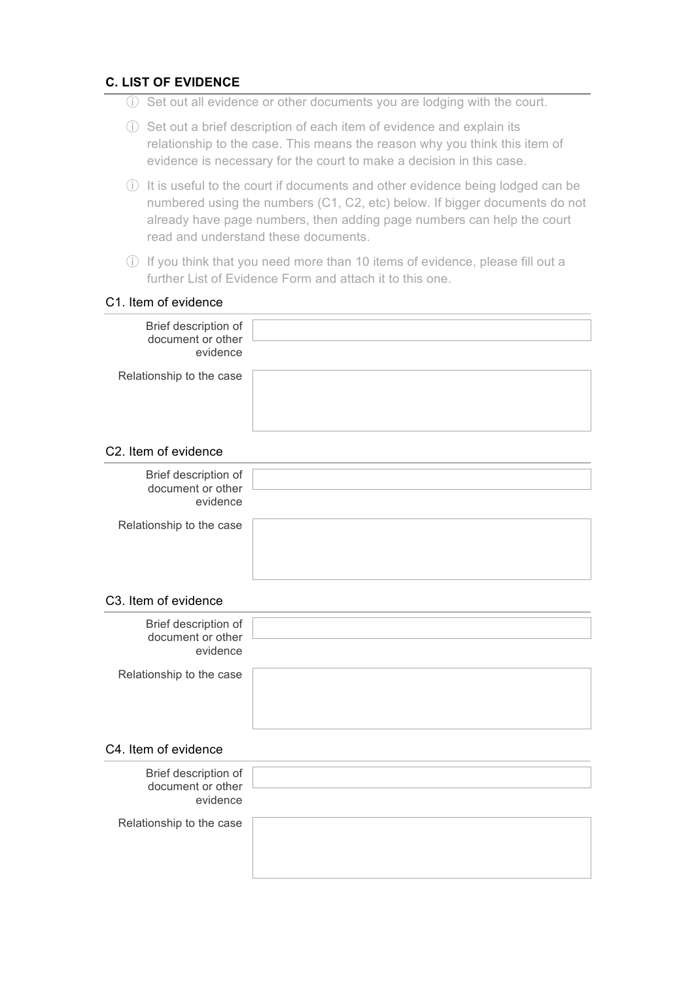## **C. LIST OF EVIDENCE**

- ⓘ Set out all evidence or other documents you are lodging with the court.
- ⓘ Set out a brief description of each item of evidence and explain its relationship to the case. This means the reason why you think this item of evidence is necessary for the court to make a decision in this case.
- ⓘ It is useful to the court if documents and other evidence being lodged can be numbered using the numbers (C1, C2, etc) below. If bigger documents do not already have page numbers, then adding page numbers can help the court read and understand these documents.
- ⓘ If you think that you need more than 10 items of evidence, please fill out a further List of Evidence Form and attach it to this one.

#### C1. Item of evidence

| Brief description of<br>document or other<br>evidence |  |
|-------------------------------------------------------|--|
| Relationship to the case                              |  |

## C2. Item of evidence

| Brief description of<br>document or other<br>evidence |  |
|-------------------------------------------------------|--|
| Relationship to the case                              |  |
|                                                       |  |
|                                                       |  |
|                                                       |  |

#### C3. Item of evidence

| Brief description of<br>document or other<br>evidence |  |
|-------------------------------------------------------|--|
| Relationship to the case                              |  |

#### C4. Item of evidence

| Brief description of<br>document or other<br>evidence |  |
|-------------------------------------------------------|--|
| Relationship to the case                              |  |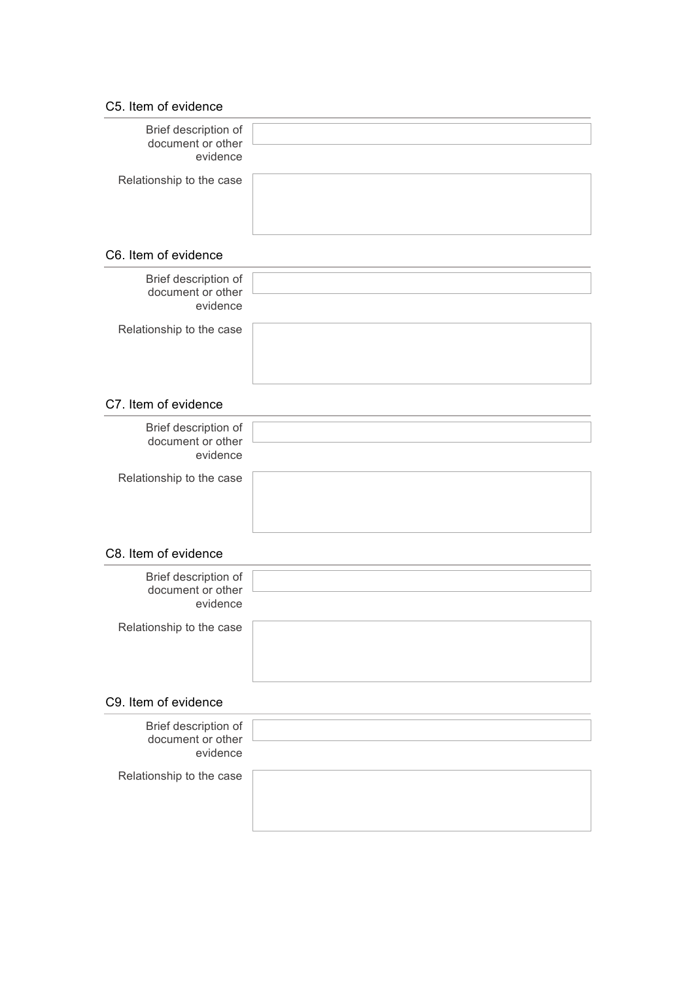#### C5. Item of evidence

| Brief description of<br>document or other<br>evidence |  |
|-------------------------------------------------------|--|
| Relationship to the case                              |  |
|                                                       |  |

## C6. Item of evidence

| Brief description of<br>document or other<br>evidence |  |
|-------------------------------------------------------|--|
| Relationship to the case                              |  |
|                                                       |  |
|                                                       |  |
|                                                       |  |

# C7. Item of evidence

| Brief description of<br>document or other<br>evidence |  |
|-------------------------------------------------------|--|
| Relationship to the case                              |  |
|                                                       |  |
|                                                       |  |
|                                                       |  |

### C8. Item of evidence

| Brief description of<br>document or other<br>evidence |  |
|-------------------------------------------------------|--|
| Relationship to the case                              |  |
|                                                       |  |

# C9. Item of evidence

| Brief description of<br>document or other<br>evidence |  |
|-------------------------------------------------------|--|
| Relationship to the case                              |  |
|                                                       |  |
|                                                       |  |
|                                                       |  |
|                                                       |  |